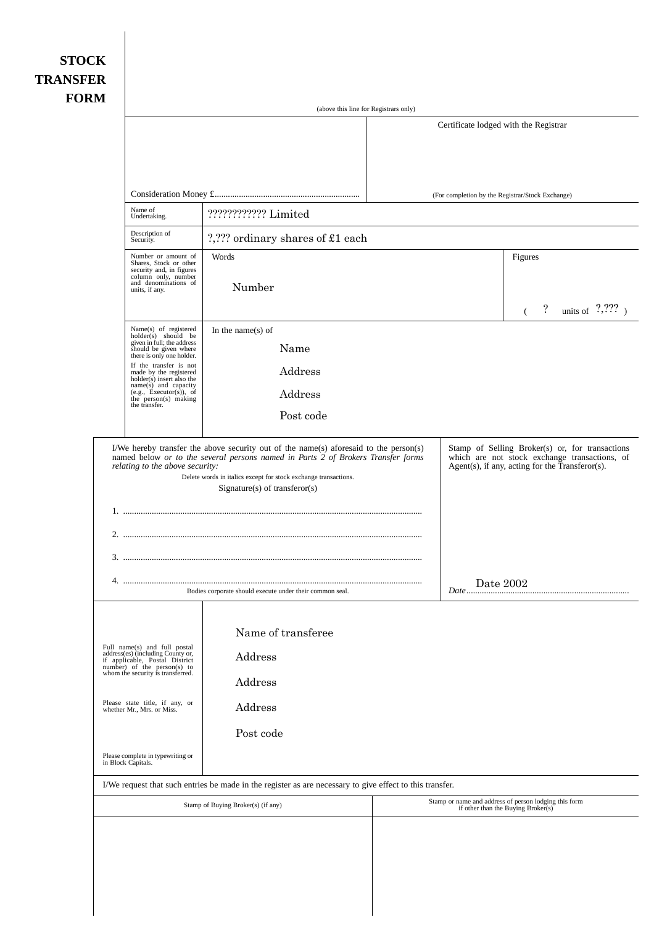| <b>STOCK</b><br><b>TRANSFER</b><br><b>FORM</b> |                                                                                                                                                                                                                                         |                                                                                                                                                            |                                                                                                                                                                                                                                                                              |                                                                                                             |           |                                                                                                                                                                   |  |  |  |
|------------------------------------------------|-----------------------------------------------------------------------------------------------------------------------------------------------------------------------------------------------------------------------------------------|------------------------------------------------------------------------------------------------------------------------------------------------------------|------------------------------------------------------------------------------------------------------------------------------------------------------------------------------------------------------------------------------------------------------------------------------|-------------------------------------------------------------------------------------------------------------|-----------|-------------------------------------------------------------------------------------------------------------------------------------------------------------------|--|--|--|
|                                                |                                                                                                                                                                                                                                         |                                                                                                                                                            | (above this line for Registrars only)                                                                                                                                                                                                                                        |                                                                                                             |           |                                                                                                                                                                   |  |  |  |
|                                                |                                                                                                                                                                                                                                         |                                                                                                                                                            |                                                                                                                                                                                                                                                                              |                                                                                                             |           | Certificate lodged with the Registrar                                                                                                                             |  |  |  |
|                                                |                                                                                                                                                                                                                                         |                                                                                                                                                            |                                                                                                                                                                                                                                                                              |                                                                                                             |           |                                                                                                                                                                   |  |  |  |
|                                                |                                                                                                                                                                                                                                         |                                                                                                                                                            |                                                                                                                                                                                                                                                                              | (For completion by the Registrar/Stock Exchange)                                                            |           |                                                                                                                                                                   |  |  |  |
|                                                |                                                                                                                                                                                                                                         | Name of<br>Undertaking.                                                                                                                                    |                                                                                                                                                                                                                                                                              |                                                                                                             |           |                                                                                                                                                                   |  |  |  |
|                                                |                                                                                                                                                                                                                                         | Description of<br>Security.                                                                                                                                | ?,??? ordinary shares of £1 each                                                                                                                                                                                                                                             |                                                                                                             |           |                                                                                                                                                                   |  |  |  |
|                                                |                                                                                                                                                                                                                                         | Number or amount of<br>Shares, Stock or other<br>security and, in figures<br>column only, number<br>and denominations of<br>units, if any.                 | Words<br>Number                                                                                                                                                                                                                                                              |                                                                                                             |           | Figures                                                                                                                                                           |  |  |  |
|                                                |                                                                                                                                                                                                                                         |                                                                                                                                                            |                                                                                                                                                                                                                                                                              |                                                                                                             |           | $\ddot{?}$<br>units of $?,???$                                                                                                                                    |  |  |  |
|                                                |                                                                                                                                                                                                                                         | Name(s) of registered<br>holder(s) should be<br>given in full; the address<br>should be given where<br>there is only one holder.<br>If the transfer is not | In the name(s) of<br>Name                                                                                                                                                                                                                                                    |                                                                                                             |           |                                                                                                                                                                   |  |  |  |
|                                                |                                                                                                                                                                                                                                         | made by the registered<br>$holder(s)$ insert also the<br>name(s) and capacity                                                                              | Address                                                                                                                                                                                                                                                                      |                                                                                                             |           |                                                                                                                                                                   |  |  |  |
|                                                |                                                                                                                                                                                                                                         | $(e.g., Executor(s)),$ of<br>the person(s) making<br>the transfer.                                                                                         | Address                                                                                                                                                                                                                                                                      |                                                                                                             |           |                                                                                                                                                                   |  |  |  |
|                                                |                                                                                                                                                                                                                                         |                                                                                                                                                            | Post code                                                                                                                                                                                                                                                                    |                                                                                                             |           |                                                                                                                                                                   |  |  |  |
|                                                | 1.                                                                                                                                                                                                                                      | relating to the above security:                                                                                                                            | I/We hereby transfer the above security out of the name(s) aforesaid to the person(s) named below or to the several persons named in Parts 2 of Brokers Transfer forms<br>Delete words in italics except for stock exchange transactions.<br>$Signature(s)$ of transferor(s) |                                                                                                             | Date 2002 | Stamp of Selling Broker(s) or, for transactions<br>which are not stock exchange transactions, of<br>Agent(s), if any, acting for the $\overline{T}$ ransferor(s). |  |  |  |
|                                                |                                                                                                                                                                                                                                         |                                                                                                                                                            | Bodies corporate should execute under their common seal.                                                                                                                                                                                                                     |                                                                                                             |           |                                                                                                                                                                   |  |  |  |
|                                                | Full name(s) and full postal<br>address(es) (including County or,<br>if applicable, Postal District<br>number) of the person(s) to<br>whom the security is transferred.<br>Please state title, if any, or<br>whether Mr., Mrs. or Miss. |                                                                                                                                                            | Name of transferee<br>Address<br>Address<br>Address<br>Post code                                                                                                                                                                                                             |                                                                                                             |           |                                                                                                                                                                   |  |  |  |
|                                                |                                                                                                                                                                                                                                         | Please complete in typewriting or<br>in Block Capitals.                                                                                                    |                                                                                                                                                                                                                                                                              |                                                                                                             |           |                                                                                                                                                                   |  |  |  |
|                                                |                                                                                                                                                                                                                                         |                                                                                                                                                            |                                                                                                                                                                                                                                                                              |                                                                                                             |           |                                                                                                                                                                   |  |  |  |
|                                                | I/We request that such entries be made in the register as are necessary to give effect to this transfer.<br>Stamp of Buying Broker(s) (if any)                                                                                          |                                                                                                                                                            |                                                                                                                                                                                                                                                                              | Stamp or name and address of person lodging this form<br>if other than the Buying $\operatorname{Broke}(s)$ |           |                                                                                                                                                                   |  |  |  |
|                                                |                                                                                                                                                                                                                                         |                                                                                                                                                            |                                                                                                                                                                                                                                                                              |                                                                                                             |           |                                                                                                                                                                   |  |  |  |
|                                                |                                                                                                                                                                                                                                         |                                                                                                                                                            |                                                                                                                                                                                                                                                                              |                                                                                                             |           |                                                                                                                                                                   |  |  |  |